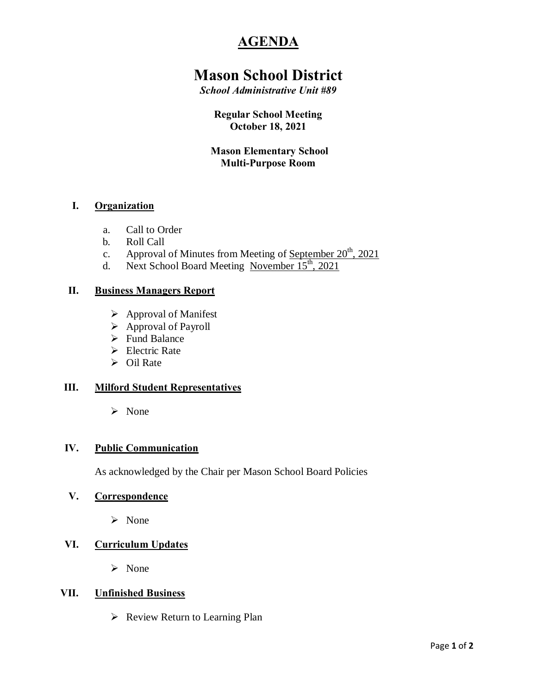# **AGENDA**

# **Mason School District**

*School Administrative Unit #89*

### **Regular School Meeting October 18, 2021**

## **Mason Elementary School Multi-Purpose Room**

## **I. Organization**

- a. Call to Order
- b. Roll Call
- c. Approval of Minutes from Meeting of September  $20^{th}$ ,  $2021$
- d. Next School Board Meeting November  $15^{\text{th}}$ , 2021

#### **II. Business Managers Report**

- $\triangleright$  Approval of Manifest
- $\triangleright$  Approval of Payroll
- **►** Fund Balance
- $\triangleright$  Electric Rate
- $\triangleright$  Oil Rate

## **III. Milford Student Representatives**

 $\triangleright$  None

#### **IV. Public Communication**

As acknowledged by the Chair per Mason School Board Policies

#### **V. Correspondence**

ÿ None

### **VI. Curriculum Updates**

 $\triangleright$  None

#### **VII. Unfinished Business**

 $\triangleright$  Review Return to Learning Plan